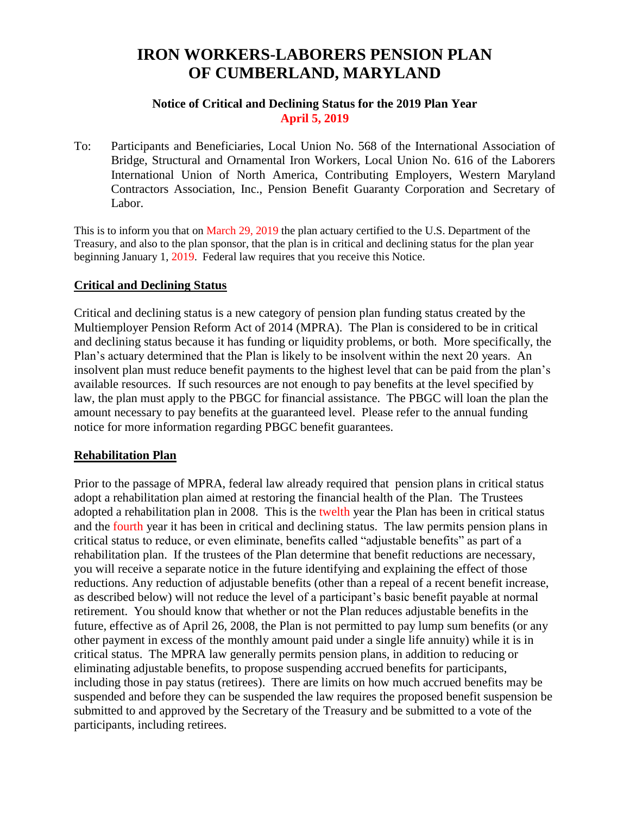# **IRON WORKERS-LABORERS PENSION PLAN OF CUMBERLAND, MARYLAND**

#### **Notice of Critical and Declining Status for the 2019 Plan Year April 5, 2019**

To: Participants and Beneficiaries, Local Union No. 568 of the International Association of Bridge, Structural and Ornamental Iron Workers, Local Union No. 616 of the Laborers International Union of North America, Contributing Employers, Western Maryland Contractors Association, Inc., Pension Benefit Guaranty Corporation and Secretary of Labor.

This is to inform you that on March 29, 2019 the plan actuary certified to the U.S. Department of the Treasury, and also to the plan sponsor, that the plan is in critical and declining status for the plan year beginning January 1, 2019. Federal law requires that you receive this Notice.

### **Critical and Declining Status**

Critical and declining status is a new category of pension plan funding status created by the Multiemployer Pension Reform Act of 2014 (MPRA). The Plan is considered to be in critical and declining status because it has funding or liquidity problems, or both. More specifically, the Plan's actuary determined that the Plan is likely to be insolvent within the next 20 years. An insolvent plan must reduce benefit payments to the highest level that can be paid from the plan's available resources. If such resources are not enough to pay benefits at the level specified by law, the plan must apply to the PBGC for financial assistance. The PBGC will loan the plan the amount necessary to pay benefits at the guaranteed level. Please refer to the annual funding notice for more information regarding PBGC benefit guarantees.

#### **Rehabilitation Plan**

Prior to the passage of MPRA, federal law already required that pension plans in critical status adopt a rehabilitation plan aimed at restoring the financial health of the Plan. The Trustees adopted a rehabilitation plan in 2008. This is the twelth year the Plan has been in critical status and the fourth year it has been in critical and declining status. The law permits pension plans in critical status to reduce, or even eliminate, benefits called "adjustable benefits" as part of a rehabilitation plan. If the trustees of the Plan determine that benefit reductions are necessary, you will receive a separate notice in the future identifying and explaining the effect of those reductions. Any reduction of adjustable benefits (other than a repeal of a recent benefit increase, as described below) will not reduce the level of a participant's basic benefit payable at normal retirement. You should know that whether or not the Plan reduces adjustable benefits in the future, effective as of April 26, 2008, the Plan is not permitted to pay lump sum benefits (or any other payment in excess of the monthly amount paid under a single life annuity) while it is in critical status. The MPRA law generally permits pension plans, in addition to reducing or eliminating adjustable benefits, to propose suspending accrued benefits for participants, including those in pay status (retirees). There are limits on how much accrued benefits may be suspended and before they can be suspended the law requires the proposed benefit suspension be submitted to and approved by the Secretary of the Treasury and be submitted to a vote of the participants, including retirees.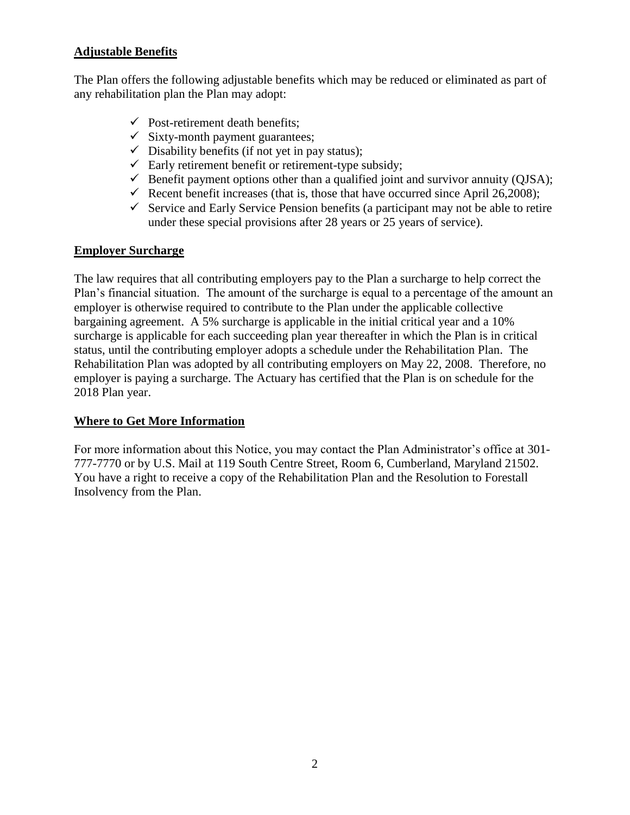## **Adjustable Benefits**

The Plan offers the following adjustable benefits which may be reduced or eliminated as part of any rehabilitation plan the Plan may adopt:

- $\checkmark$  Post-retirement death benefits;
- $\checkmark$  Sixty-month payment guarantees;
- $\checkmark$  Disability benefits (if not yet in pay status);
- $\checkmark$  Early retirement benefit or retirement-type subsidy;
- $\checkmark$  Benefit payment options other than a qualified joint and survivor annuity (QJSA);
- Recent benefit increases (that is, those that have occurred since April 26,2008);
- $\checkmark$  Service and Early Service Pension benefits (a participant may not be able to retire under these special provisions after 28 years or 25 years of service).

#### **Employer Surcharge**

The law requires that all contributing employers pay to the Plan a surcharge to help correct the Plan's financial situation. The amount of the surcharge is equal to a percentage of the amount an employer is otherwise required to contribute to the Plan under the applicable collective bargaining agreement. A 5% surcharge is applicable in the initial critical year and a 10% surcharge is applicable for each succeeding plan year thereafter in which the Plan is in critical status, until the contributing employer adopts a schedule under the Rehabilitation Plan. The Rehabilitation Plan was adopted by all contributing employers on May 22, 2008. Therefore, no employer is paying a surcharge. The Actuary has certified that the Plan is on schedule for the 2018 Plan year.

### **Where to Get More Information**

For more information about this Notice, you may contact the Plan Administrator's office at 301- 777-7770 or by U.S. Mail at 119 South Centre Street, Room 6, Cumberland, Maryland 21502. You have a right to receive a copy of the Rehabilitation Plan and the Resolution to Forestall Insolvency from the Plan.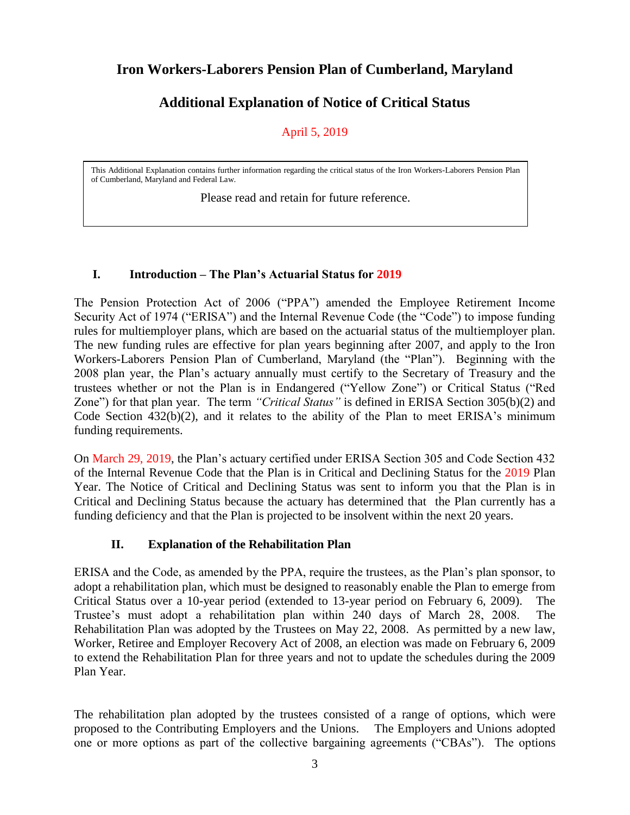## **Iron Workers-Laborers Pension Plan of Cumberland, Maryland**

## **Additional Explanation of Notice of Critical Status**

## April 5, 2019

This Additional Explanation contains further information regarding the critical status of the Iron Workers-Laborers Pension Plan of Cumberland, Maryland and Federal Law.

Please read and retain for future reference.

## **I. Introduction – The Plan's Actuarial Status for 2019**

The Pension Protection Act of 2006 ("PPA") amended the Employee Retirement Income Security Act of 1974 ("ERISA") and the Internal Revenue Code (the "Code") to impose funding rules for multiemployer plans, which are based on the actuarial status of the multiemployer plan. The new funding rules are effective for plan years beginning after 2007, and apply to the Iron Workers-Laborers Pension Plan of Cumberland, Maryland (the "Plan"). Beginning with the 2008 plan year, the Plan's actuary annually must certify to the Secretary of Treasury and the trustees whether or not the Plan is in Endangered ("Yellow Zone") or Critical Status ("Red Zone") for that plan year. The term *"Critical Status"* is defined in ERISA Section 305(b)(2) and Code Section 432(b)(2), and it relates to the ability of the Plan to meet ERISA's minimum funding requirements.

On March 29, 2019, the Plan's actuary certified under ERISA Section 305 and Code Section 432 of the Internal Revenue Code that the Plan is in Critical and Declining Status for the 2019 Plan Year. The Notice of Critical and Declining Status was sent to inform you that the Plan is in Critical and Declining Status because the actuary has determined that the Plan currently has a funding deficiency and that the Plan is projected to be insolvent within the next 20 years.

### **II. Explanation of the Rehabilitation Plan**

ERISA and the Code, as amended by the PPA, require the trustees, as the Plan's plan sponsor, to adopt a rehabilitation plan, which must be designed to reasonably enable the Plan to emerge from Critical Status over a 10-year period (extended to 13-year period on February 6, 2009). The Trustee's must adopt a rehabilitation plan within 240 days of March 28, 2008. The Rehabilitation Plan was adopted by the Trustees on May 22, 2008. As permitted by a new law, Worker, Retiree and Employer Recovery Act of 2008, an election was made on February 6, 2009 to extend the Rehabilitation Plan for three years and not to update the schedules during the 2009 Plan Year.

The rehabilitation plan adopted by the trustees consisted of a range of options, which were proposed to the Contributing Employers and the Unions. The Employers and Unions adopted one or more options as part of the collective bargaining agreements ("CBAs"). The options